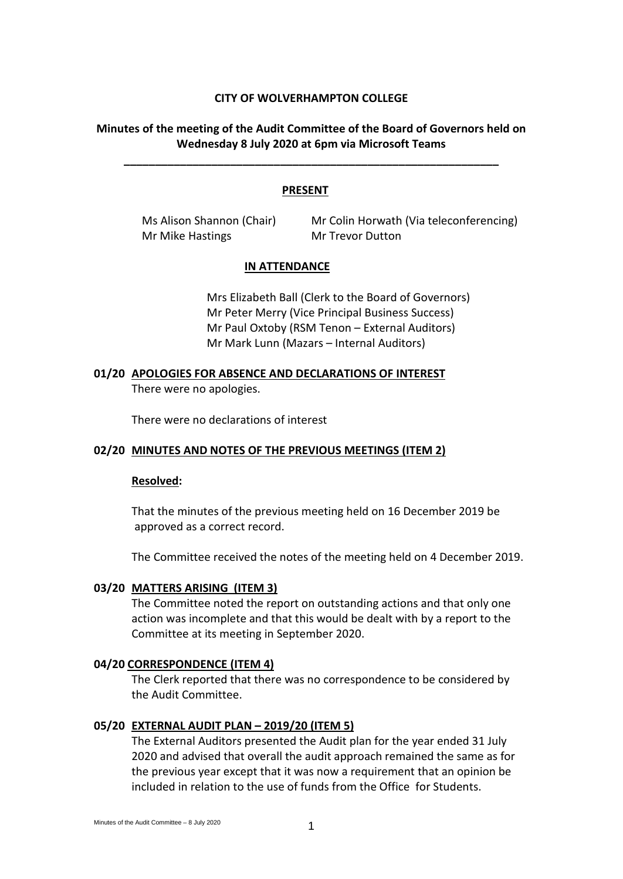# **CITY OF WOLVERHAMPTON COLLEGE**

# **Minutes of the meeting of the Audit Committee of the Board of Governors held on Wednesday 8 July 2020 at 6pm via Microsoft Teams**

**\_\_\_\_\_\_\_\_\_\_\_\_\_\_\_\_\_\_\_\_\_\_\_\_\_\_\_\_\_\_\_\_\_\_\_\_\_\_\_\_\_\_\_\_\_\_\_\_\_\_\_\_\_\_\_\_\_\_\_\_**

## **PRESENT**

Mr Mike Hastings Mr Trevor Dutton

Ms Alison Shannon (Chair) Mr Colin Horwath (Via teleconferencing)

## **IN ATTENDANCE**

Mrs Elizabeth Ball (Clerk to the Board of Governors) Mr Peter Merry (Vice Principal Business Success) Mr Paul Oxtoby (RSM Tenon – External Auditors) Mr Mark Lunn (Mazars – Internal Auditors)

# **01/20 APOLOGIES FOR ABSENCE AND DECLARATIONS OF INTEREST** There were no apologies.

There were no declarations of interest

# **02/20 MINUTES AND NOTES OF THE PREVIOUS MEETINGS (ITEM 2)**

## **Resolved:**

That the minutes of the previous meeting held on 16 December 2019 be approved as a correct record.

The Committee received the notes of the meeting held on 4 December 2019.

# **03/20 MATTERS ARISING (ITEM 3)**

The Committee noted the report on outstanding actions and that only one action was incomplete and that this would be dealt with by a report to the Committee at its meeting in September 2020.

## **04/20 CORRESPONDENCE (ITEM 4)**

The Clerk reported that there was no correspondence to be considered by the Audit Committee.

## **05/20 EXTERNAL AUDIT PLAN – 2019/20 (ITEM 5)**

The External Auditors presented the Audit plan for the year ended 31 July 2020 and advised that overall the audit approach remained the same as for the previous year except that it was now a requirement that an opinion be included in relation to the use of funds from the Office for Students.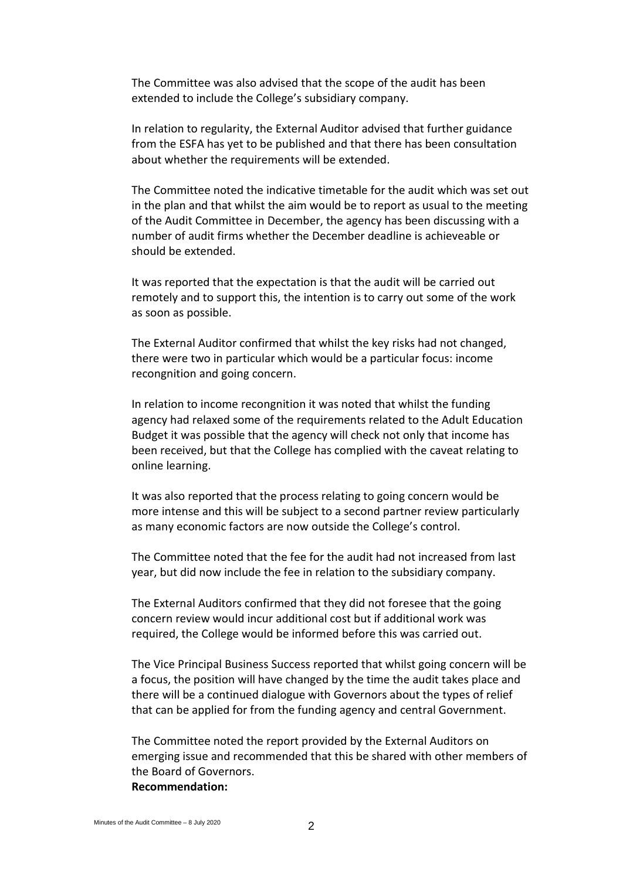The Committee was also advised that the scope of the audit has been extended to include the College's subsidiary company.

In relation to regularity, the External Auditor advised that further guidance from the ESFA has yet to be published and that there has been consultation about whether the requirements will be extended.

The Committee noted the indicative timetable for the audit which was set out in the plan and that whilst the aim would be to report as usual to the meeting of the Audit Committee in December, the agency has been discussing with a number of audit firms whether the December deadline is achieveable or should be extended.

It was reported that the expectation is that the audit will be carried out remotely and to support this, the intention is to carry out some of the work as soon as possible.

The External Auditor confirmed that whilst the key risks had not changed, there were two in particular which would be a particular focus: income recongnition and going concern.

In relation to income recongnition it was noted that whilst the funding agency had relaxed some of the requirements related to the Adult Education Budget it was possible that the agency will check not only that income has been received, but that the College has complied with the caveat relating to online learning.

It was also reported that the process relating to going concern would be more intense and this will be subject to a second partner review particularly as many economic factors are now outside the College's control.

The Committee noted that the fee for the audit had not increased from last year, but did now include the fee in relation to the subsidiary company.

The External Auditors confirmed that they did not foresee that the going concern review would incur additional cost but if additional work was required, the College would be informed before this was carried out.

The Vice Principal Business Success reported that whilst going concern will be a focus, the position will have changed by the time the audit takes place and there will be a continued dialogue with Governors about the types of relief that can be applied for from the funding agency and central Government.

The Committee noted the report provided by the External Auditors on emerging issue and recommended that this be shared with other members of the Board of Governors. **Recommendation:**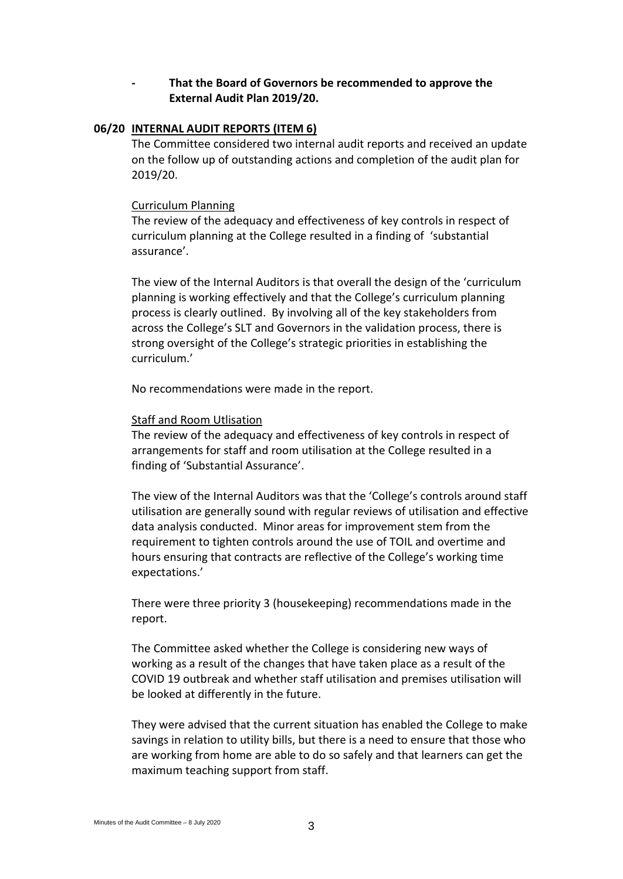# **- That the Board of Governors be recommended to approve the External Audit Plan 2019/20.**

## **06/20 INTERNAL AUDIT REPORTS (ITEM 6)**

The Committee considered two internal audit reports and received an update on the follow up of outstanding actions and completion of the audit plan for 2019/20.

## Curriculum Planning

The review of the adequacy and effectiveness of key controls in respect of curriculum planning at the College resulted in a finding of 'substantial assurance'.

The view of the Internal Auditors is that overall the design of the 'curriculum planning is working effectively and that the College's curriculum planning process is clearly outlined. By involving all of the key stakeholders from across the College's SLT and Governors in the validation process, there is strong oversight of the College's strategic priorities in establishing the curriculum.'

No recommendations were made in the report.

# Staff and Room Utlisation

The review of the adequacy and effectiveness of key controls in respect of arrangements for staff and room utilisation at the College resulted in a finding of 'Substantial Assurance'.

The view of the Internal Auditors was that the 'College's controls around staff utilisation are generally sound with regular reviews of utilisation and effective data analysis conducted. Minor areas for improvement stem from the requirement to tighten controls around the use of TOIL and overtime and hours ensuring that contracts are reflective of the College's working time expectations.'

There were three priority 3 (housekeeping) recommendations made in the report.

The Committee asked whether the College is considering new ways of working as a result of the changes that have taken place as a result of the COVID 19 outbreak and whether staff utilisation and premises utilisation will be looked at differently in the future.

They were advised that the current situation has enabled the College to make savings in relation to utility bills, but there is a need to ensure that those who are working from home are able to do so safely and that learners can get the maximum teaching support from staff.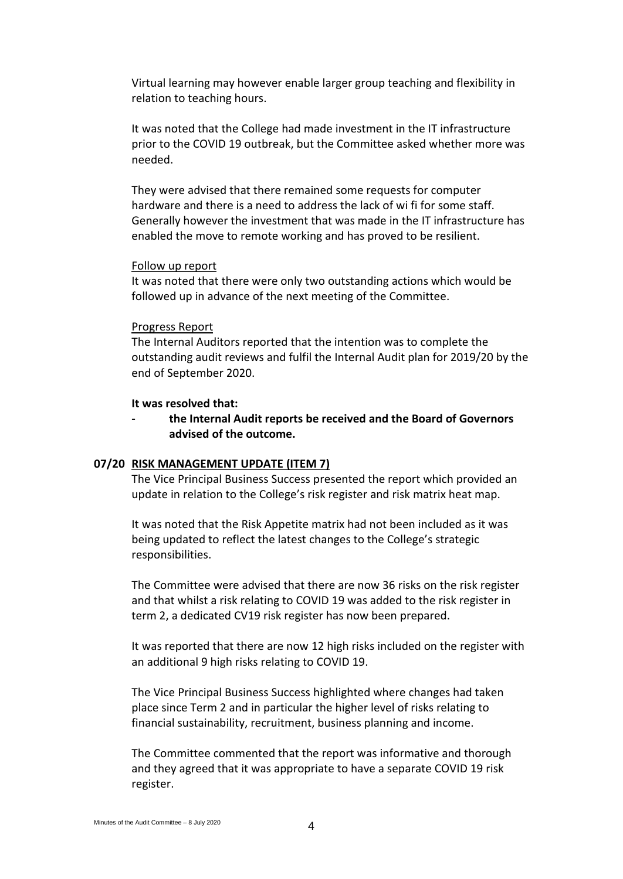Virtual learning may however enable larger group teaching and flexibility in relation to teaching hours.

It was noted that the College had made investment in the IT infrastructure prior to the COVID 19 outbreak, but the Committee asked whether more was needed.

They were advised that there remained some requests for computer hardware and there is a need to address the lack of wi fi for some staff. Generally however the investment that was made in the IT infrastructure has enabled the move to remote working and has proved to be resilient.

#### Follow up report

It was noted that there were only two outstanding actions which would be followed up in advance of the next meeting of the Committee.

#### Progress Report

The Internal Auditors reported that the intention was to complete the outstanding audit reviews and fulfil the Internal Audit plan for 2019/20 by the end of September 2020.

#### **It was resolved that:**

**- the Internal Audit reports be received and the Board of Governors advised of the outcome.**

## **07/20 RISK MANAGEMENT UPDATE (ITEM 7)**

The Vice Principal Business Success presented the report which provided an update in relation to the College's risk register and risk matrix heat map.

It was noted that the Risk Appetite matrix had not been included as it was being updated to reflect the latest changes to the College's strategic responsibilities.

The Committee were advised that there are now 36 risks on the risk register and that whilst a risk relating to COVID 19 was added to the risk register in term 2, a dedicated CV19 risk register has now been prepared.

It was reported that there are now 12 high risks included on the register with an additional 9 high risks relating to COVID 19.

The Vice Principal Business Success highlighted where changes had taken place since Term 2 and in particular the higher level of risks relating to financial sustainability, recruitment, business planning and income.

The Committee commented that the report was informative and thorough and they agreed that it was appropriate to have a separate COVID 19 risk register.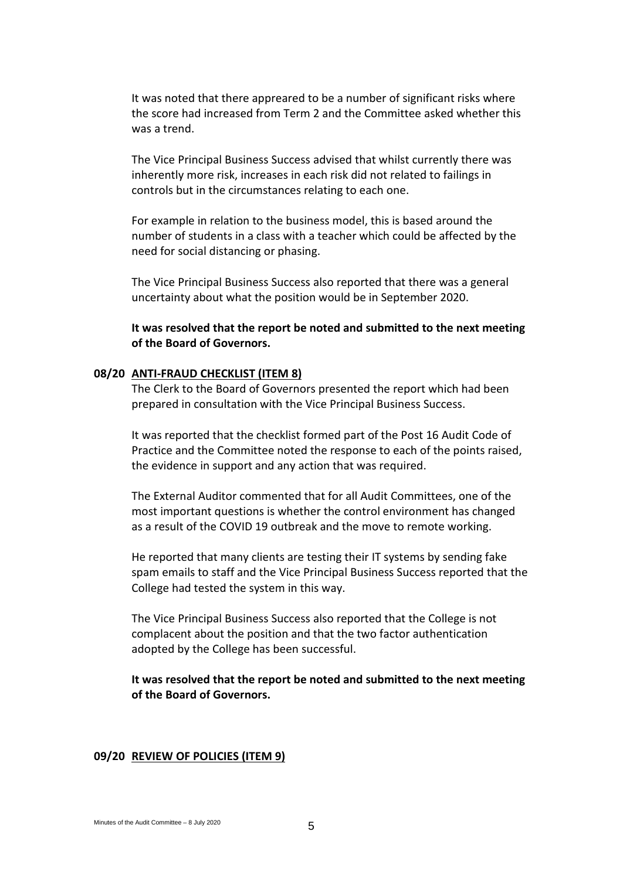It was noted that there appreared to be a number of significant risks where the score had increased from Term 2 and the Committee asked whether this was a trend.

The Vice Principal Business Success advised that whilst currently there was inherently more risk, increases in each risk did not related to failings in controls but in the circumstances relating to each one.

For example in relation to the business model, this is based around the number of students in a class with a teacher which could be affected by the need for social distancing or phasing.

The Vice Principal Business Success also reported that there was a general uncertainty about what the position would be in September 2020.

**It was resolved that the report be noted and submitted to the next meeting of the Board of Governors.**

## **08/20 ANTI-FRAUD CHECKLIST (ITEM 8)**

The Clerk to the Board of Governors presented the report which had been prepared in consultation with the Vice Principal Business Success.

It was reported that the checklist formed part of the Post 16 Audit Code of Practice and the Committee noted the response to each of the points raised, the evidence in support and any action that was required.

The External Auditor commented that for all Audit Committees, one of the most important questions is whether the control environment has changed as a result of the COVID 19 outbreak and the move to remote working.

He reported that many clients are testing their IT systems by sending fake spam emails to staff and the Vice Principal Business Success reported that the College had tested the system in this way.

The Vice Principal Business Success also reported that the College is not complacent about the position and that the two factor authentication adopted by the College has been successful.

**It was resolved that the report be noted and submitted to the next meeting of the Board of Governors.**

#### **09/20 REVIEW OF POLICIES (ITEM 9)**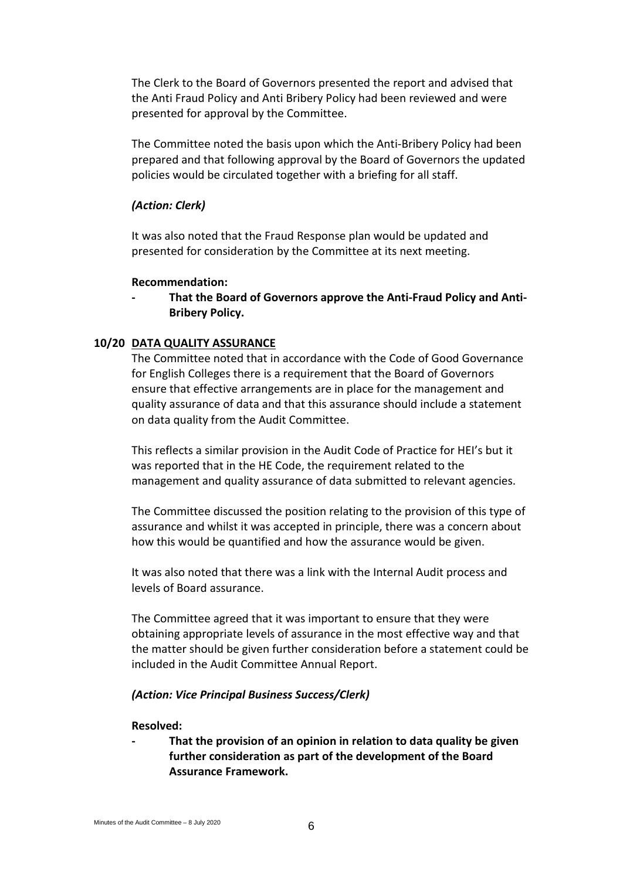The Clerk to the Board of Governors presented the report and advised that the Anti Fraud Policy and Anti Bribery Policy had been reviewed and were presented for approval by the Committee.

The Committee noted the basis upon which the Anti-Bribery Policy had been prepared and that following approval by the Board of Governors the updated policies would be circulated together with a briefing for all staff.

# *(Action: Clerk)*

It was also noted that the Fraud Response plan would be updated and presented for consideration by the Committee at its next meeting.

## **Recommendation:**

**- That the Board of Governors approve the Anti-Fraud Policy and Anti-Bribery Policy.**

# **10/20 DATA QUALITY ASSURANCE**

The Committee noted that in accordance with the Code of Good Governance for English Colleges there is a requirement that the Board of Governors ensure that effective arrangements are in place for the management and quality assurance of data and that this assurance should include a statement on data quality from the Audit Committee.

This reflects a similar provision in the Audit Code of Practice for HEI's but it was reported that in the HE Code, the requirement related to the management and quality assurance of data submitted to relevant agencies.

The Committee discussed the position relating to the provision of this type of assurance and whilst it was accepted in principle, there was a concern about how this would be quantified and how the assurance would be given.

It was also noted that there was a link with the Internal Audit process and levels of Board assurance.

The Committee agreed that it was important to ensure that they were obtaining appropriate levels of assurance in the most effective way and that the matter should be given further consideration before a statement could be included in the Audit Committee Annual Report.

# *(Action: Vice Principal Business Success/Clerk)*

#### **Resolved:**

**- That the provision of an opinion in relation to data quality be given further consideration as part of the development of the Board Assurance Framework.**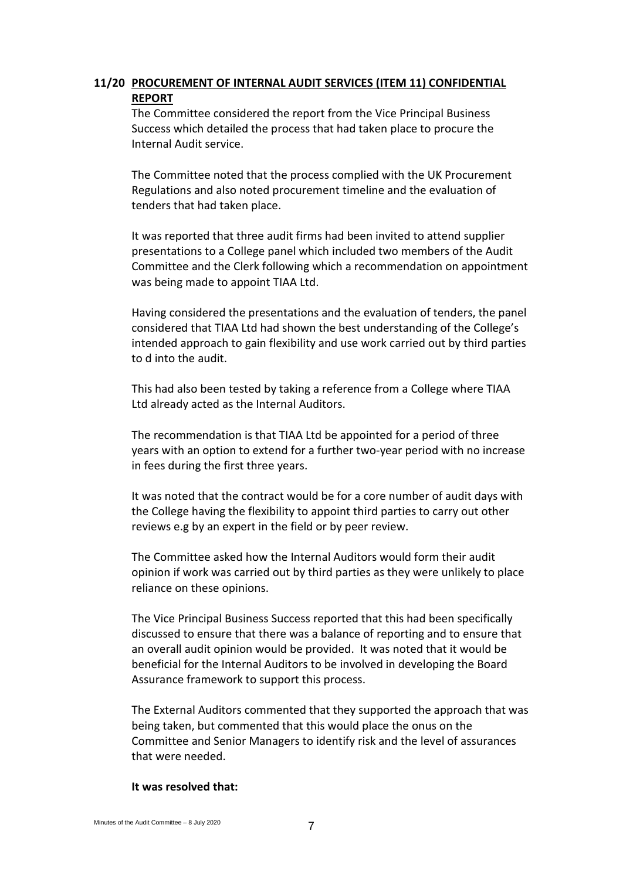# **11/20 PROCUREMENT OF INTERNAL AUDIT SERVICES (ITEM 11) CONFIDENTIAL REPORT**

The Committee considered the report from the Vice Principal Business Success which detailed the process that had taken place to procure the Internal Audit service.

The Committee noted that the process complied with the UK Procurement Regulations and also noted procurement timeline and the evaluation of tenders that had taken place.

It was reported that three audit firms had been invited to attend supplier presentations to a College panel which included two members of the Audit Committee and the Clerk following which a recommendation on appointment was being made to appoint TIAA Ltd.

Having considered the presentations and the evaluation of tenders, the panel considered that TIAA Ltd had shown the best understanding of the College's intended approach to gain flexibility and use work carried out by third parties to d into the audit.

This had also been tested by taking a reference from a College where TIAA Ltd already acted as the Internal Auditors.

The recommendation is that TIAA Ltd be appointed for a period of three years with an option to extend for a further two-year period with no increase in fees during the first three years.

It was noted that the contract would be for a core number of audit days with the College having the flexibility to appoint third parties to carry out other reviews e.g by an expert in the field or by peer review.

The Committee asked how the Internal Auditors would form their audit opinion if work was carried out by third parties as they were unlikely to place reliance on these opinions.

The Vice Principal Business Success reported that this had been specifically discussed to ensure that there was a balance of reporting and to ensure that an overall audit opinion would be provided. It was noted that it would be beneficial for the Internal Auditors to be involved in developing the Board Assurance framework to support this process.

The External Auditors commented that they supported the approach that was being taken, but commented that this would place the onus on the Committee and Senior Managers to identify risk and the level of assurances that were needed.

## **It was resolved that:**